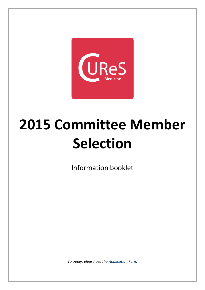

# **2015 Committee Member Selection**

Information booklet

*To apply, please use the [Application Form](https://docs.google.com/forms/d/1_E_rAVR7qpBKuhFo7se9yenwO7zKD-jr-ytj9EY7XNk/viewform?usp=send_form)*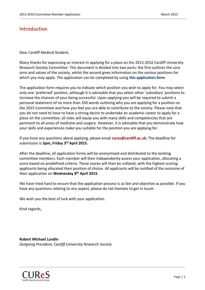# Introduction

Dear Cardiff Medical Student,

Many thanks for expressing an interest in applying for a place on the 2015-2016 Cardiff University Research Society Committee. This document is divided into two parts: the first outlines the core aims and values of the society, whilst the second gives information on the various positions for which you may apply. The application can be completed by using **[this application form](https://docs.google.com/forms/d/1_E_rAVR7qpBKuhFo7se9yenwO7zKD-jr-ytj9EY7XNk/viewform?usp=send_form)**.

The application form requires you to indicate which position you wish to apply for. You may select only one 'preferred' position, although it is advisable that you select other 'subsidiary' positions to increase the chances of your being successful. Upon applying you will be required to submit a personal statement of no more than 350 words outlining why you are applying for a position on the 2015 Committee and how you feel you are able to contribute to the society. Please note that you do not need to have to have a strong desire to undertake an academic career to apply for a place on the committee; all roles will equip you with many skills and competencies that are pertinent to all areas of medicine and surgery. However, it is advisable that you demonstrate how your skills and experiences make you suitable for the position you are applying for.

If you have any questions about applying, please email **[cures@cardiff.ac.uk.](mailto:cures@cardiff.ac.uk)** The deadline for submission is **5pm, Friday 3 rd April 2015**.

After the deadline, all application forms will be anonymised and distributed to the existing committee members. Each member will then independently assess your application, allocating a score based on predefined criteria. These scores will then be collated, with the highest scoring applicants being allocated their position of choice. All applicants will be notified of the outcome of their application on **Wednesday 8 th April 2015**.

We have tried hard to ensure that the application process is as fair and objective as possible. If you have any questions relating to any aspect, please do not hesitate to get in touch.

We wish you the best of luck with your application.

Kind regards,

**Robert Michael Lundin** *Outgoing President, Cardiff University Research Society*

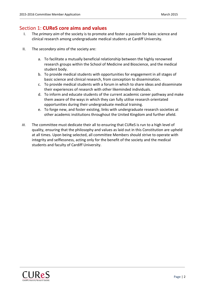# Section 1: **CUReS core aims and values**

- I. The *primary aim* of the society is to promote and foster a passion for basic science and clinical research among undergraduate medical students at Cardiff University.
- II. The *secondary aims* of the society are:
	- a. To facilitate a mutually beneficial relationship between the highly renowned research groups within the School of Medicine and Bioscience, and the medical student body.
	- b. To provide medical students with opportunities for engagement in all stages of basic science and clinical research, from conception to dissemination.
	- c. To provide medical students with a forum in which to share ideas and disseminate their experiences of research with other likeminded individuals.
	- d. To inform and educate students of the current academic career pathway and make them aware of the ways in which they can fully utilise research orientated opportunities during their undergraduate medical training.
	- e. To forge new, and foster existing, links with undergraduate research societies at other academic institutions throughout the United Kingdom and further afield.
- *III.* The committee must dedicate their all to ensuring that CUReS is run to a high level of quality, ensuring that the philosophy and values as laid out in this Constitution are upheld at all times. Upon being selected, all committee Members should strive to operate with integrity and selflessness, acting only for the benefit of the society and the medical students and faculty of Cardiff University.

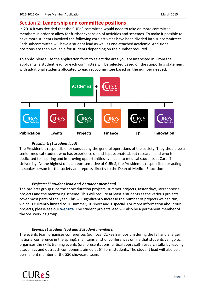# Section 2: **Leadership and committee positions**

In 2014 it was decided that the CUReS committee would need to take on more committee members in order to allow for further expansion of activities and schemes. To make it possible to have more students involved the following core activities have been divided into subcommittees. Each subcommittee will have a student lead as well as one attached academic. Additional positions are then available for students depending on the number required.

To apply, please use the application form to select the area you are interested in. From the applicants, a student lead for each committee will be selected based on the supporting statement with additional students allocated to each subcommittee based on the number needed.



## *President: (1 student lead)*

The President is responsible for conducting the general operations of the society. They should be a senior medical student who has experience of and is passionate about research, and who is dedicated to inspiring and improving opportunities available to medical students at Cardiff University. As the highest official representative of CUReS, the President is responsible for acting as spokesperson for the society and reports directly to the Dean of Medical Education.

## *Projects: (1 student lead and 2 student members)*

The projects group runs the short duration projects, summer projects, taster days, larger special projects and the mentoring scheme. This will require at least 3 students as the various projects cover most parts of the year. This will significantly increase the number of projects we can run, which is currently limited to 20 summer, 10 short and 1 special. For more information about our projects, please see our **[website](http://cures.cardiff.ac.uk/projects/short-duration-projects/clinical-placement-interaction-between-gender-career-decisions-and-performance-in-healthcare-students/)**. The student projects lead will also be a permanent member of the SSC working group.

## *Events: (1 student lead and 3 student members)*

The events team organises conferences (our local CUReS Symposium during the fall and a larger national conference in the spring), maintains a list of conferences online that students can go to, organises the skills training events (oral presentations, critical appraisal), research talks by leading academics and outreach components aimed at  $6<sup>th</sup>$  form students. The student lead will also be a permanent member of the SSC showcase team.